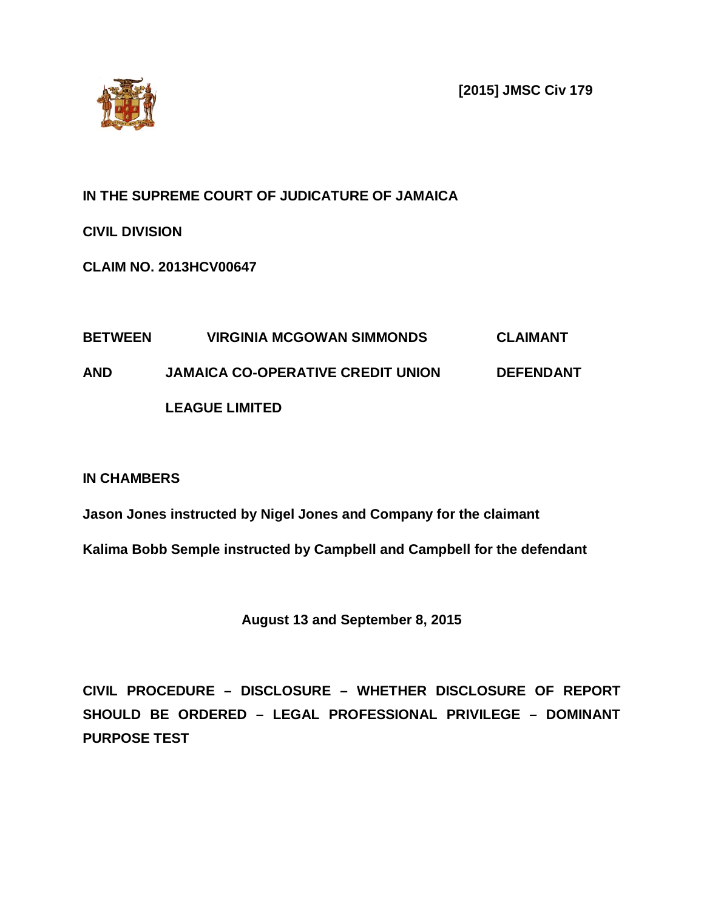**[2015] JMSC Civ 179**



**IN THE SUPREME COURT OF JUDICATURE OF JAMAICA**

**CIVIL DIVISION**

**CLAIM NO. 2013HCV00647**

# **BETWEEN VIRGINIA MCGOWAN SIMMONDS CLAIMANT AND JAMAICA CO-OPERATIVE CREDIT UNION DEFENDANT LEAGUE LIMITED**

**IN CHAMBERS**

**Jason Jones instructed by Nigel Jones and Company for the claimant**

**Kalima Bobb Semple instructed by Campbell and Campbell for the defendant**

**August 13 and September 8, 2015**

**CIVIL PROCEDURE – DISCLOSURE – WHETHER DISCLOSURE OF REPORT SHOULD BE ORDERED – LEGAL PROFESSIONAL PRIVILEGE – DOMINANT PURPOSE TEST**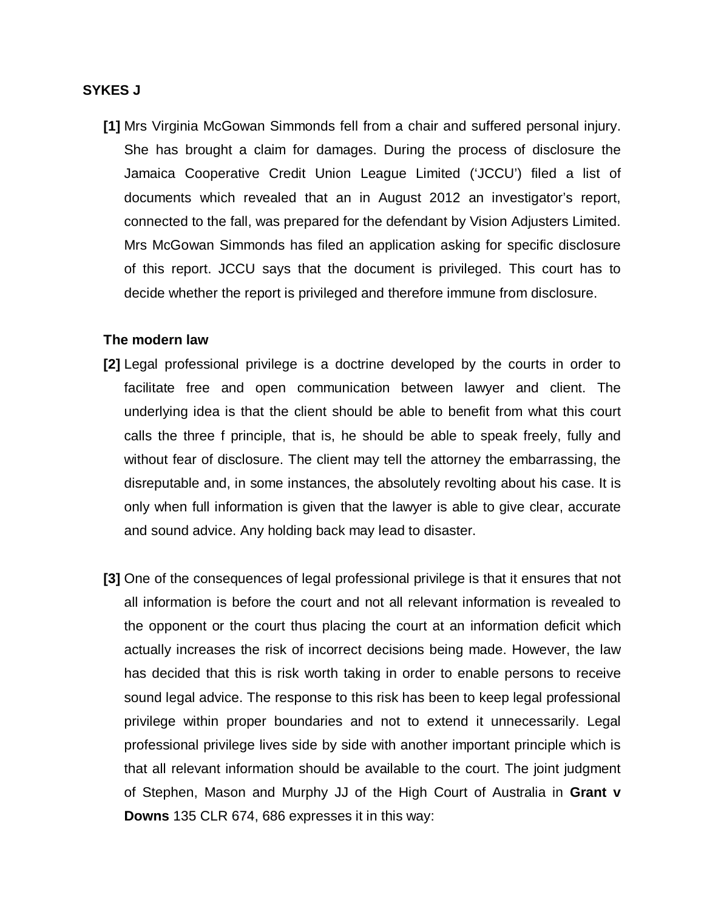## **SYKES J**

**[1]** Mrs Virginia McGowan Simmonds fell from a chair and suffered personal injury. She has brought a claim for damages. During the process of disclosure the Jamaica Cooperative Credit Union League Limited ('JCCU') filed a list of documents which revealed that an in August 2012 an investigator's report, connected to the fall, was prepared for the defendant by Vision Adjusters Limited. Mrs McGowan Simmonds has filed an application asking for specific disclosure of this report. JCCU says that the document is privileged. This court has to decide whether the report is privileged and therefore immune from disclosure.

#### **The modern law**

- **[2]** Legal professional privilege is a doctrine developed by the courts in order to facilitate free and open communication between lawyer and client. The underlying idea is that the client should be able to benefit from what this court calls the three f principle, that is, he should be able to speak freely, fully and without fear of disclosure. The client may tell the attorney the embarrassing, the disreputable and, in some instances, the absolutely revolting about his case. It is only when full information is given that the lawyer is able to give clear, accurate and sound advice. Any holding back may lead to disaster.
- **[3]** One of the consequences of legal professional privilege is that it ensures that not all information is before the court and not all relevant information is revealed to the opponent or the court thus placing the court at an information deficit which actually increases the risk of incorrect decisions being made. However, the law has decided that this is risk worth taking in order to enable persons to receive sound legal advice. The response to this risk has been to keep legal professional privilege within proper boundaries and not to extend it unnecessarily. Legal professional privilege lives side by side with another important principle which is that all relevant information should be available to the court. The joint judgment of Stephen, Mason and Murphy JJ of the High Court of Australia in **Grant v Downs** 135 CLR 674, 686 expresses it in this way: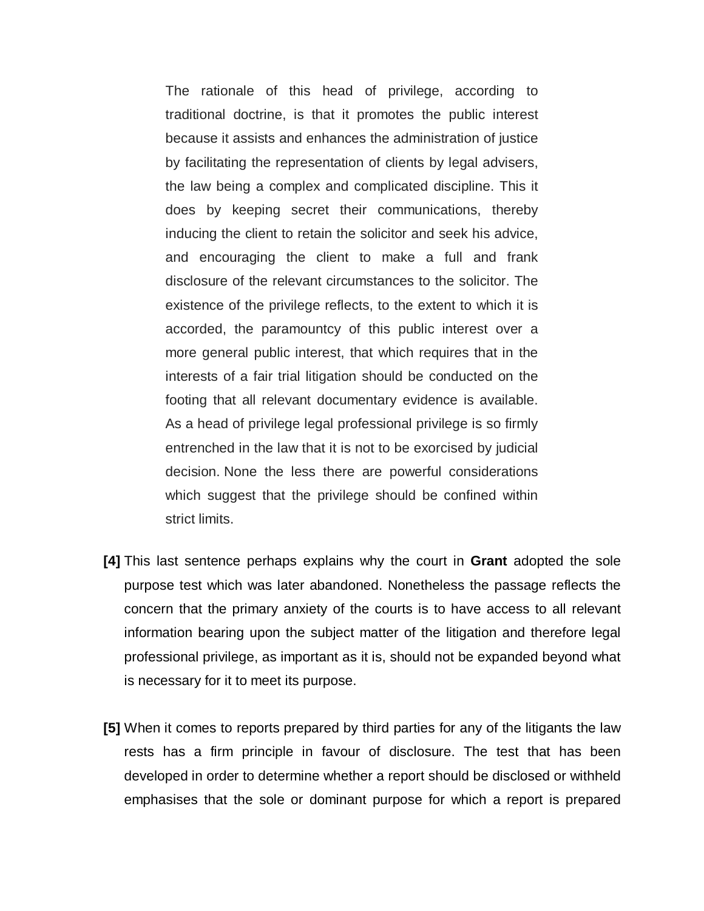The rationale of this head of privilege, according to traditional doctrine, is that it promotes the public interest because it assists and enhances the administration of justice by facilitating the representation of clients by legal advisers, the law being a complex and complicated discipline. This it does by keeping secret their communications, thereby inducing the client to retain the solicitor and seek his advice, and encouraging the client to make a full and frank disclosure of the relevant circumstances to the solicitor. The existence of the privilege reflects, to the extent to which it is accorded, the paramountcy of this public interest over a more general public interest, that which requires that in the interests of a fair trial litigation should be conducted on the footing that all relevant documentary evidence is available. As a head of privilege legal professional privilege is so firmly entrenched in the law that it is not to be exorcised by judicial decision. None the less there are powerful considerations which suggest that the privilege should be confined within strict limits.

- **[4]** This last sentence perhaps explains why the court in **Grant** adopted the sole purpose test which was later abandoned. Nonetheless the passage reflects the concern that the primary anxiety of the courts is to have access to all relevant information bearing upon the subject matter of the litigation and therefore legal professional privilege, as important as it is, should not be expanded beyond what is necessary for it to meet its purpose.
- **[5]** When it comes to reports prepared by third parties for any of the litigants the law rests has a firm principle in favour of disclosure. The test that has been developed in order to determine whether a report should be disclosed or withheld emphasises that the sole or dominant purpose for which a report is prepared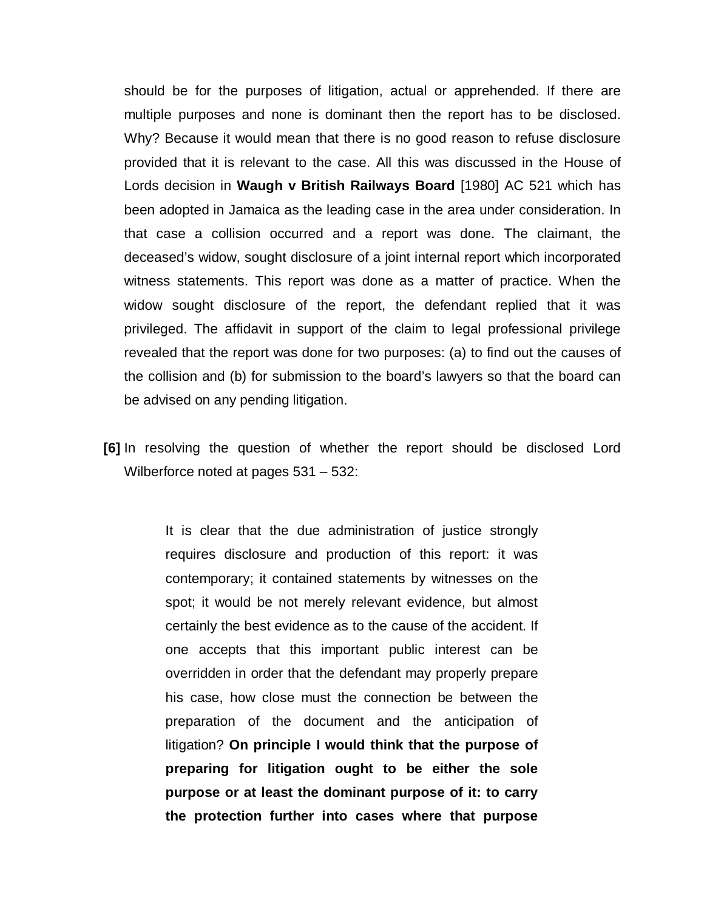should be for the purposes of litigation, actual or apprehended. If there are multiple purposes and none is dominant then the report has to be disclosed. Why? Because it would mean that there is no good reason to refuse disclosure provided that it is relevant to the case. All this was discussed in the House of Lords decision in **Waugh v British Railways Board** [1980] AC 521 which has been adopted in Jamaica as the leading case in the area under consideration. In that case a collision occurred and a report was done. The claimant, the deceased's widow, sought disclosure of a joint internal report which incorporated witness statements. This report was done as a matter of practice. When the widow sought disclosure of the report, the defendant replied that it was privileged. The affidavit in support of the claim to legal professional privilege revealed that the report was done for two purposes: (a) to find out the causes of the collision and (b) for submission to the board's lawyers so that the board can be advised on any pending litigation.

**[6]** In resolving the question of whether the report should be disclosed Lord Wilberforce noted at pages 531 – 532:

> It is clear that the due administration of justice strongly requires disclosure and production of this report: it was contemporary; it contained statements by witnesses on the spot; it would be not merely relevant evidence, but almost certainly the best evidence as to the cause of the accident. If one accepts that this important public interest can be overridden in order that the defendant may properly prepare his case, how close must the connection be between the preparation of the document and the anticipation of litigation? **On principle I would think that the purpose of preparing for litigation ought to be either the sole purpose or at least the dominant purpose of it: to carry the protection further into cases where that purpose**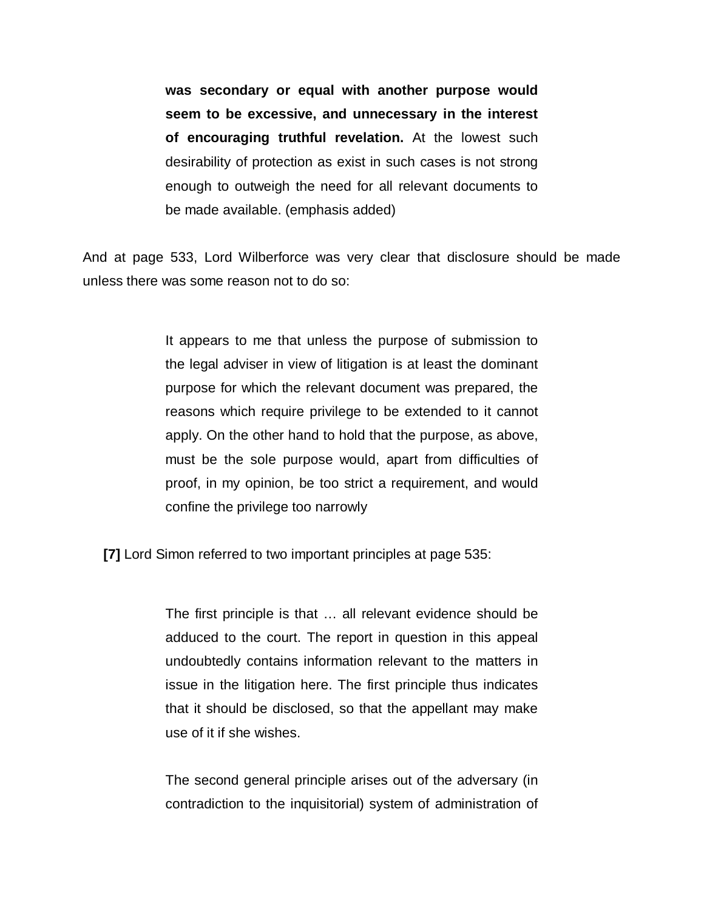**was secondary or equal with another purpose would seem to be excessive, and unnecessary in the interest of encouraging truthful revelation.** At the lowest such desirability of protection as exist in such cases is not strong enough to outweigh the need for all relevant documents to be made available. (emphasis added)

And at page 533, Lord Wilberforce was very clear that disclosure should be made unless there was some reason not to do so:

> It appears to me that unless the purpose of submission to the legal adviser in view of litigation is at least the dominant purpose for which the relevant document was prepared, the reasons which require privilege to be extended to it cannot apply. On the other hand to hold that the purpose, as above, must be the sole purpose would, apart from difficulties of proof, in my opinion, be too strict a requirement, and would confine the privilege too narrowly

**[7]** Lord Simon referred to two important principles at page 535:

The first principle is that … all relevant evidence should be adduced to the court. The report in question in this appeal undoubtedly contains information relevant to the matters in issue in the litigation here. The first principle thus indicates that it should be disclosed, so that the appellant may make use of it if she wishes.

The second general principle arises out of the adversary (in contradiction to the inquisitorial) system of administration of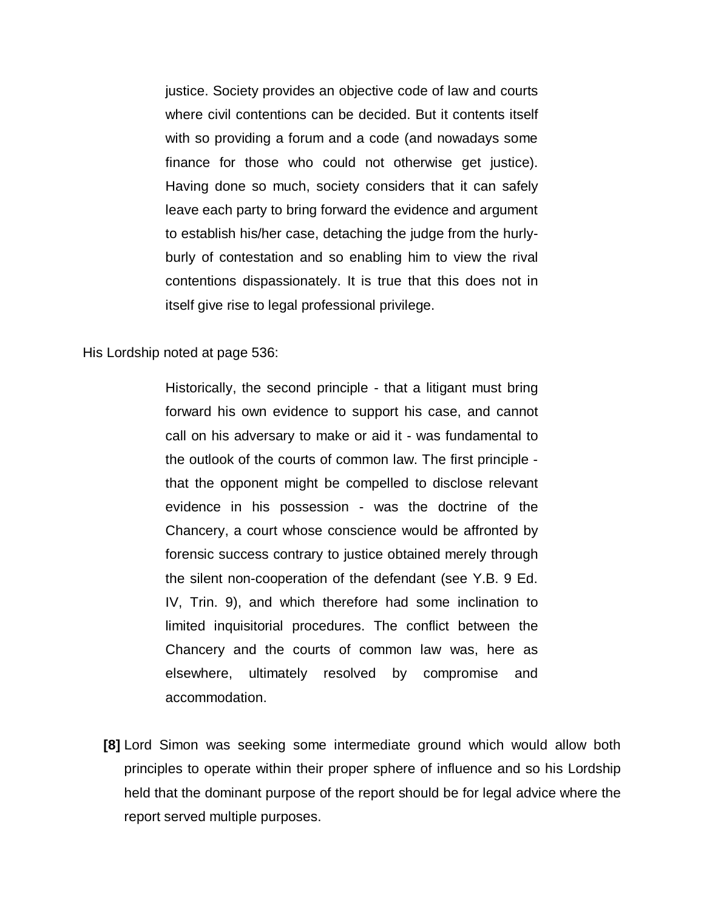justice. Society provides an objective code of law and courts where civil contentions can be decided. But it contents itself with so providing a forum and a code (and nowadays some finance for those who could not otherwise get justice). Having done so much, society considers that it can safely leave each party to bring forward the evidence and argument to establish his/her case, detaching the judge from the hurlyburly of contestation and so enabling him to view the rival contentions dispassionately. It is true that this does not in itself give rise to legal professional privilege.

His Lordship noted at page 536:

Historically, the second principle - that a litigant must bring forward his own evidence to support his case, and cannot call on his adversary to make or aid it - was fundamental to the outlook of the courts of common law. The first principle that the opponent might be compelled to disclose relevant evidence in his possession - was the doctrine of the Chancery, a court whose conscience would be affronted by forensic success contrary to justice obtained merely through the silent non-cooperation of the defendant (see Y.B. 9 Ed. IV, Trin. 9), and which therefore had some inclination to limited inquisitorial procedures. The conflict between the Chancery and the courts of common law was, here as elsewhere, ultimately resolved by compromise and accommodation.

**[8]** Lord Simon was seeking some intermediate ground which would allow both principles to operate within their proper sphere of influence and so his Lordship held that the dominant purpose of the report should be for legal advice where the report served multiple purposes.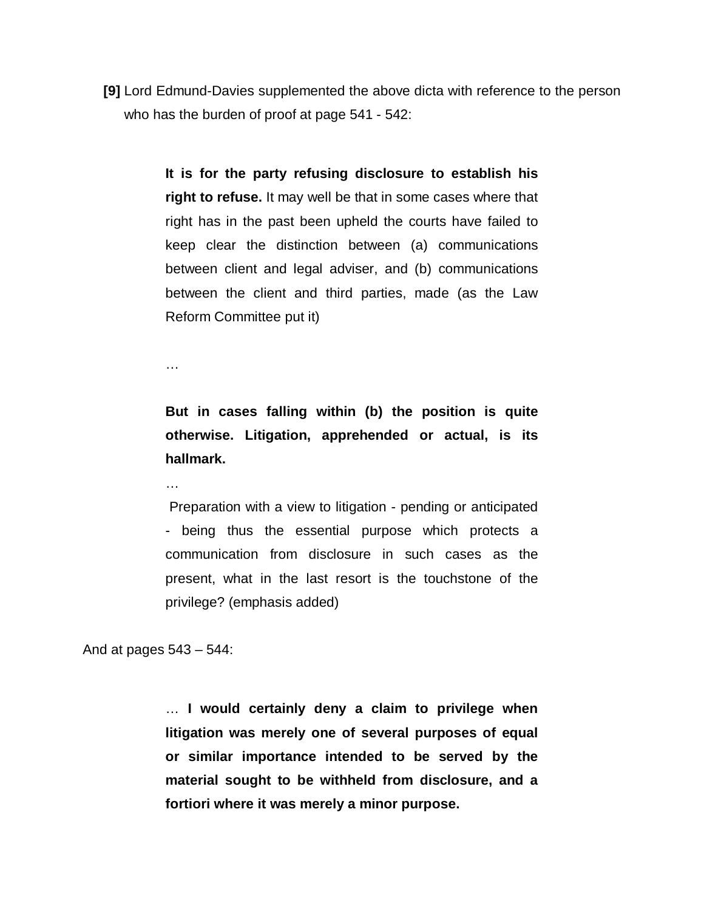**[9]** Lord Edmund-Davies supplemented the above dicta with reference to the person who has the burden of proof at page 541 - 542:

> **It is for the party refusing disclosure to establish his right to refuse.** It may well be that in some cases where that right has in the past been upheld the courts have failed to keep clear the distinction between (a) communications between client and legal adviser, and (b) communications between the client and third parties, made (as the Law Reform Committee put it)

…

…

**But in cases falling within (b) the position is quite otherwise. Litigation, apprehended or actual, is its hallmark.**

Preparation with a view to litigation - pending or anticipated - being thus the essential purpose which protects a communication from disclosure in such cases as the present, what in the last resort is the touchstone of the privilege? (emphasis added)

And at pages 543 – 544:

… **I would certainly deny a claim to privilege when litigation was merely one of several purposes of equal or similar importance intended to be served by the material sought to be withheld from disclosure, and a fortiori where it was merely a minor purpose.**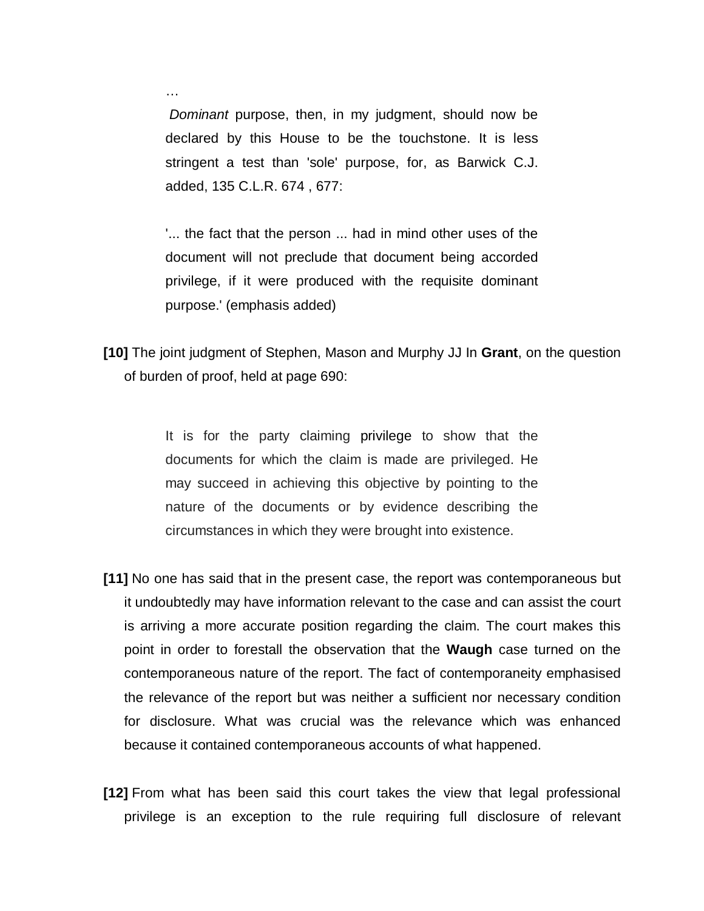*Dominant* purpose, then, in my judgment, should now be declared by this House to be the touchstone. It is less stringent a test than 'sole' purpose, for, as Barwick C.J. added, [135 C.L.R. 674](http://www.westlaw.com/Find/Default.wl?rs=dfa1.0&vr=2.0&DB=999&FindType=Y&SerialNum=1976025225) , 677:

…

'... the fact that the person ... had in mind other uses of the document will not preclude that document being accorded privilege, if it were produced with the requisite dominant purpose.' (emphasis added)

**[10]** The joint judgment of Stephen, Mason and Murphy JJ In **Grant**, on the question of burden of proof, held at page 690:

> It is for the party claiming privilege to show that the documents for which the claim is made are privileged. He may succeed in achieving this objective by pointing to the nature of the documents or by evidence describing the circumstances in which they were brought into existence.

- **[11]** No one has said that in the present case, the report was contemporaneous but it undoubtedly may have information relevant to the case and can assist the court is arriving a more accurate position regarding the claim. The court makes this point in order to forestall the observation that the **Waugh** case turned on the contemporaneous nature of the report. The fact of contemporaneity emphasised the relevance of the report but was neither a sufficient nor necessary condition for disclosure. What was crucial was the relevance which was enhanced because it contained contemporaneous accounts of what happened.
- **[12]** From what has been said this court takes the view that legal professional privilege is an exception to the rule requiring full disclosure of relevant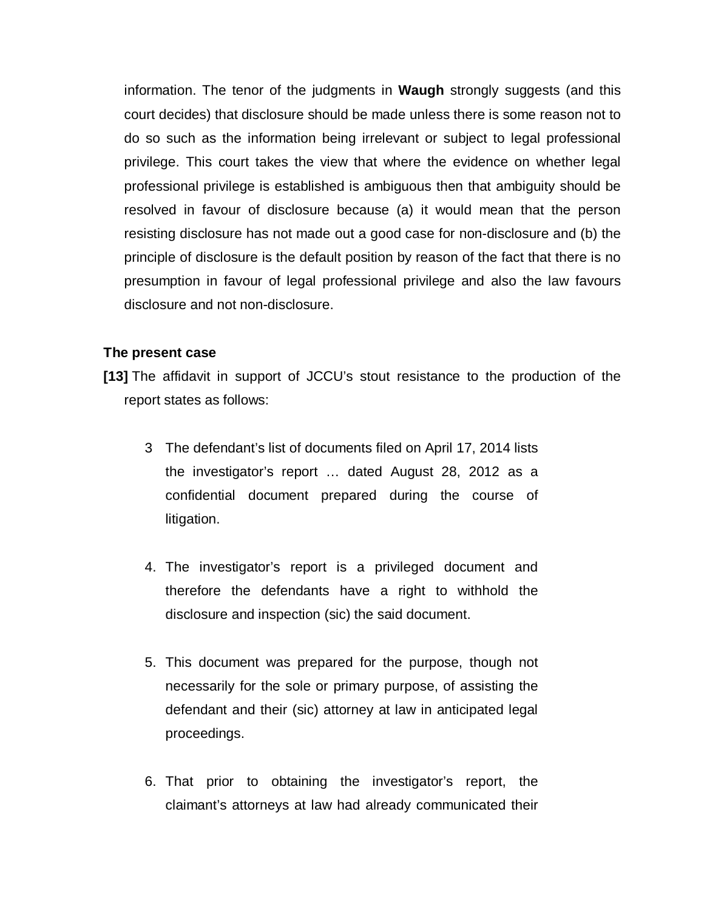information. The tenor of the judgments in **Waugh** strongly suggests (and this court decides) that disclosure should be made unless there is some reason not to do so such as the information being irrelevant or subject to legal professional privilege. This court takes the view that where the evidence on whether legal professional privilege is established is ambiguous then that ambiguity should be resolved in favour of disclosure because (a) it would mean that the person resisting disclosure has not made out a good case for non-disclosure and (b) the principle of disclosure is the default position by reason of the fact that there is no presumption in favour of legal professional privilege and also the law favours disclosure and not non-disclosure.

## **The present case**

**[13]** The affidavit in support of JCCU's stout resistance to the production of the report states as follows:

- 3 The defendant's list of documents filed on April 17, 2014 lists the investigator's report … dated August 28, 2012 as a confidential document prepared during the course of litigation.
- 4. The investigator's report is a privileged document and therefore the defendants have a right to withhold the disclosure and inspection (sic) the said document.
- 5. This document was prepared for the purpose, though not necessarily for the sole or primary purpose, of assisting the defendant and their (sic) attorney at law in anticipated legal proceedings.
- 6. That prior to obtaining the investigator's report, the claimant's attorneys at law had already communicated their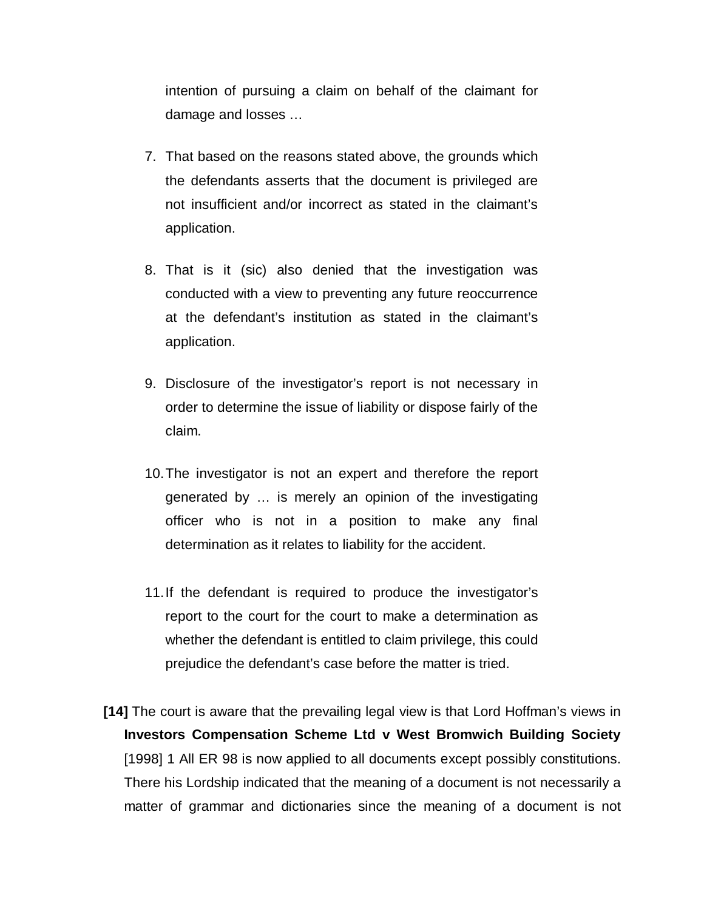intention of pursuing a claim on behalf of the claimant for damage and losses …

- 7. That based on the reasons stated above, the grounds which the defendants asserts that the document is privileged are not insufficient and/or incorrect as stated in the claimant's application.
- 8. That is it (sic) also denied that the investigation was conducted with a view to preventing any future reoccurrence at the defendant's institution as stated in the claimant's application.
- 9. Disclosure of the investigator's report is not necessary in order to determine the issue of liability or dispose fairly of the claim.
- 10.The investigator is not an expert and therefore the report generated by … is merely an opinion of the investigating officer who is not in a position to make any final determination as it relates to liability for the accident.
- 11.If the defendant is required to produce the investigator's report to the court for the court to make a determination as whether the defendant is entitled to claim privilege, this could prejudice the defendant's case before the matter is tried.
- **[14]** The court is aware that the prevailing legal view is that Lord Hoffman's views in **Investors Compensation Scheme Ltd v West Bromwich Building Society**  [1998] 1 All ER 98 is now applied to all documents except possibly constitutions. There his Lordship indicated that the meaning of a document is not necessarily a matter of grammar and dictionaries since the meaning of a document is not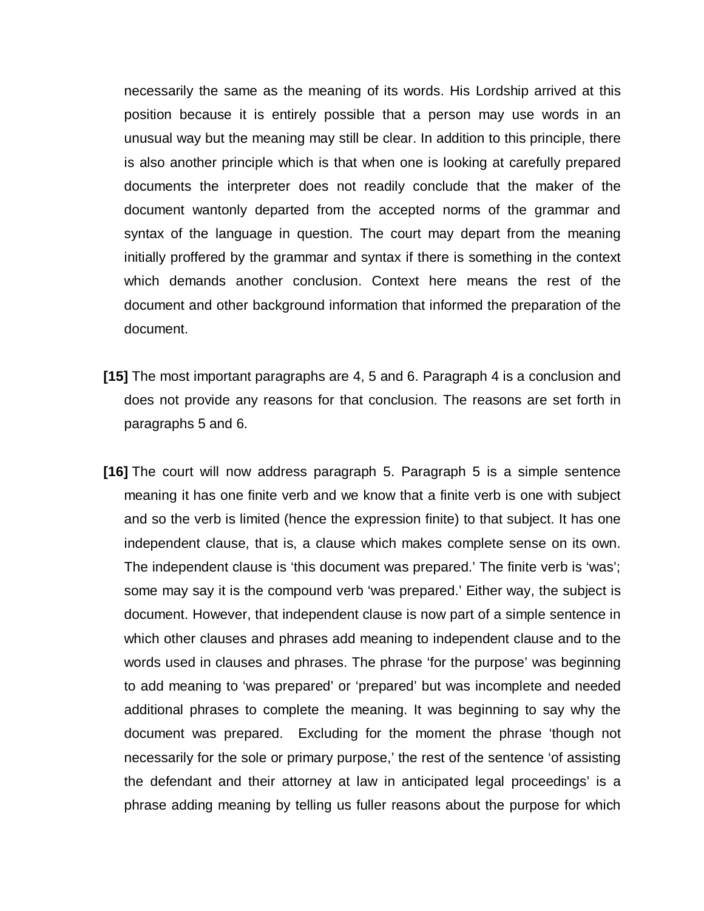necessarily the same as the meaning of its words. His Lordship arrived at this position because it is entirely possible that a person may use words in an unusual way but the meaning may still be clear. In addition to this principle, there is also another principle which is that when one is looking at carefully prepared documents the interpreter does not readily conclude that the maker of the document wantonly departed from the accepted norms of the grammar and syntax of the language in question. The court may depart from the meaning initially proffered by the grammar and syntax if there is something in the context which demands another conclusion. Context here means the rest of the document and other background information that informed the preparation of the document.

- **[15]** The most important paragraphs are 4, 5 and 6. Paragraph 4 is a conclusion and does not provide any reasons for that conclusion. The reasons are set forth in paragraphs 5 and 6.
- **[16]** The court will now address paragraph 5. Paragraph 5 is a simple sentence meaning it has one finite verb and we know that a finite verb is one with subject and so the verb is limited (hence the expression finite) to that subject. It has one independent clause, that is, a clause which makes complete sense on its own. The independent clause is 'this document was prepared.' The finite verb is 'was'; some may say it is the compound verb 'was prepared.' Either way, the subject is document. However, that independent clause is now part of a simple sentence in which other clauses and phrases add meaning to independent clause and to the words used in clauses and phrases. The phrase 'for the purpose' was beginning to add meaning to 'was prepared' or 'prepared' but was incomplete and needed additional phrases to complete the meaning. It was beginning to say why the document was prepared. Excluding for the moment the phrase 'though not necessarily for the sole or primary purpose,' the rest of the sentence 'of assisting the defendant and their attorney at law in anticipated legal proceedings' is a phrase adding meaning by telling us fuller reasons about the purpose for which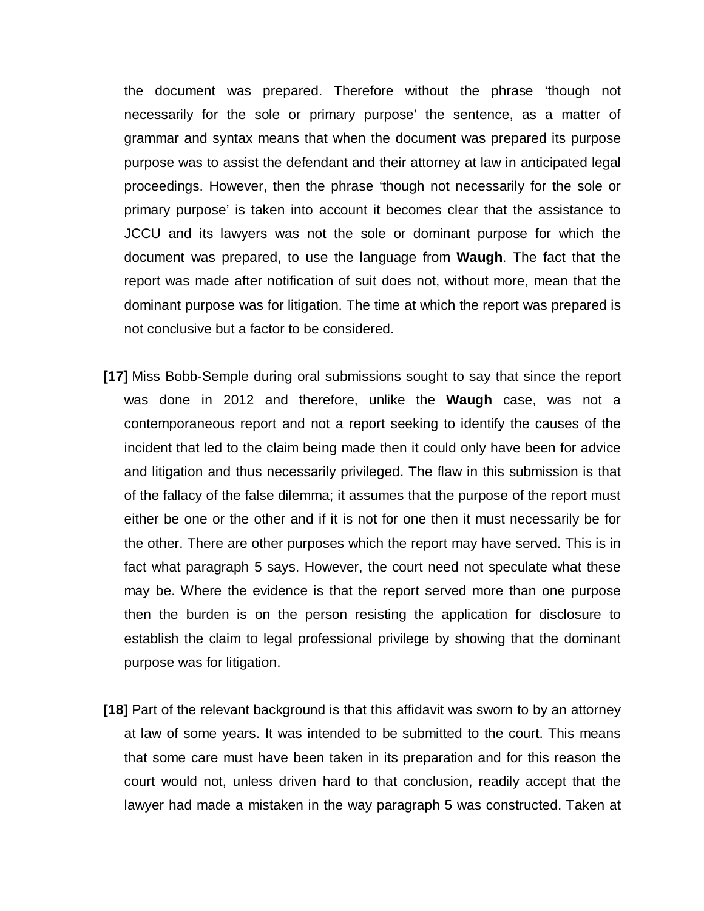the document was prepared. Therefore without the phrase 'though not necessarily for the sole or primary purpose' the sentence, as a matter of grammar and syntax means that when the document was prepared its purpose purpose was to assist the defendant and their attorney at law in anticipated legal proceedings. However, then the phrase 'though not necessarily for the sole or primary purpose' is taken into account it becomes clear that the assistance to JCCU and its lawyers was not the sole or dominant purpose for which the document was prepared, to use the language from **Waugh**. The fact that the report was made after notification of suit does not, without more, mean that the dominant purpose was for litigation. The time at which the report was prepared is not conclusive but a factor to be considered.

- **[17]** Miss Bobb-Semple during oral submissions sought to say that since the report was done in 2012 and therefore, unlike the **Waugh** case, was not a contemporaneous report and not a report seeking to identify the causes of the incident that led to the claim being made then it could only have been for advice and litigation and thus necessarily privileged. The flaw in this submission is that of the fallacy of the false dilemma; it assumes that the purpose of the report must either be one or the other and if it is not for one then it must necessarily be for the other. There are other purposes which the report may have served. This is in fact what paragraph 5 says. However, the court need not speculate what these may be. Where the evidence is that the report served more than one purpose then the burden is on the person resisting the application for disclosure to establish the claim to legal professional privilege by showing that the dominant purpose was for litigation.
- **[18]** Part of the relevant background is that this affidavit was sworn to by an attorney at law of some years. It was intended to be submitted to the court. This means that some care must have been taken in its preparation and for this reason the court would not, unless driven hard to that conclusion, readily accept that the lawyer had made a mistaken in the way paragraph 5 was constructed. Taken at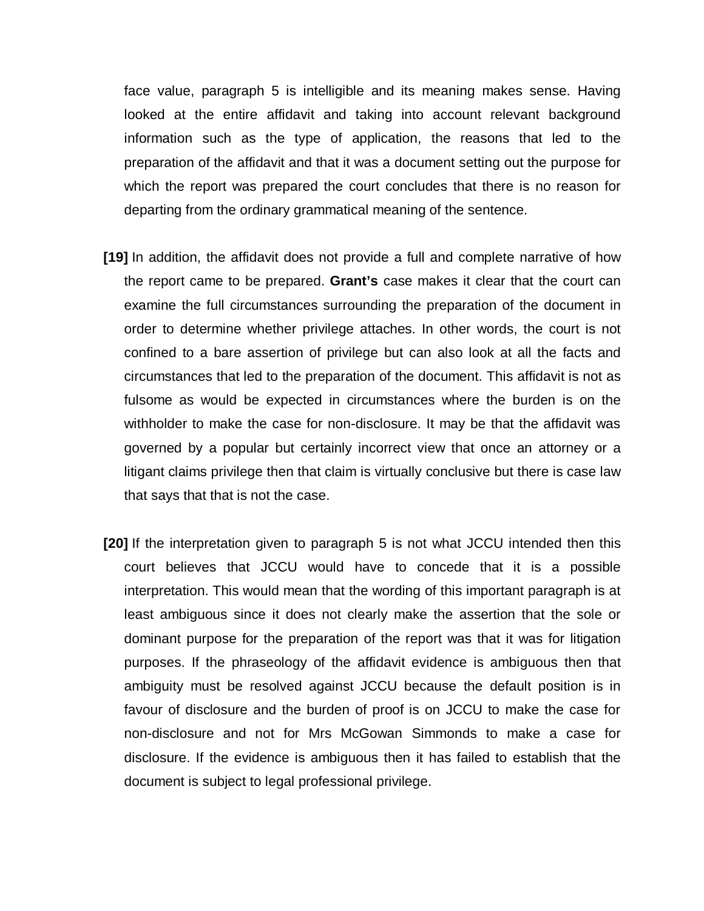face value, paragraph 5 is intelligible and its meaning makes sense. Having looked at the entire affidavit and taking into account relevant background information such as the type of application, the reasons that led to the preparation of the affidavit and that it was a document setting out the purpose for which the report was prepared the court concludes that there is no reason for departing from the ordinary grammatical meaning of the sentence.

- **[19]** In addition, the affidavit does not provide a full and complete narrative of how the report came to be prepared. **Grant's** case makes it clear that the court can examine the full circumstances surrounding the preparation of the document in order to determine whether privilege attaches. In other words, the court is not confined to a bare assertion of privilege but can also look at all the facts and circumstances that led to the preparation of the document. This affidavit is not as fulsome as would be expected in circumstances where the burden is on the withholder to make the case for non-disclosure. It may be that the affidavit was governed by a popular but certainly incorrect view that once an attorney or a litigant claims privilege then that claim is virtually conclusive but there is case law that says that that is not the case.
- **[20]** If the interpretation given to paragraph 5 is not what JCCU intended then this court believes that JCCU would have to concede that it is a possible interpretation. This would mean that the wording of this important paragraph is at least ambiguous since it does not clearly make the assertion that the sole or dominant purpose for the preparation of the report was that it was for litigation purposes. If the phraseology of the affidavit evidence is ambiguous then that ambiguity must be resolved against JCCU because the default position is in favour of disclosure and the burden of proof is on JCCU to make the case for non-disclosure and not for Mrs McGowan Simmonds to make a case for disclosure. If the evidence is ambiguous then it has failed to establish that the document is subject to legal professional privilege.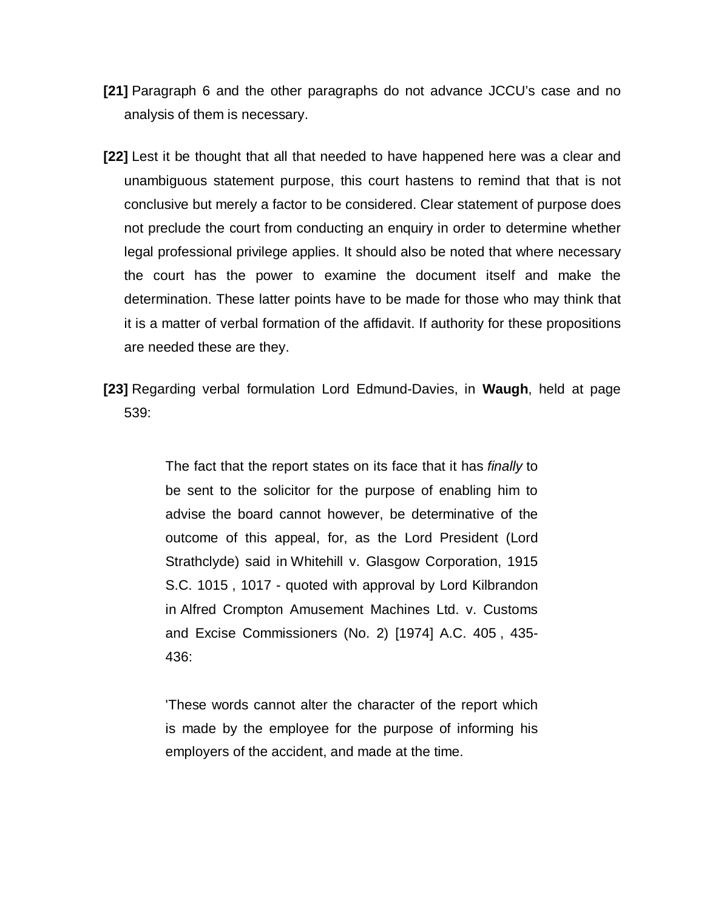- **[21]** Paragraph 6 and the other paragraphs do not advance JCCU's case and no analysis of them is necessary.
- **[22]** Lest it be thought that all that needed to have happened here was a clear and unambiguous statement purpose, this court hastens to remind that that is not conclusive but merely a factor to be considered. Clear statement of purpose does not preclude the court from conducting an enquiry in order to determine whether legal professional privilege applies. It should also be noted that where necessary the court has the power to examine the document itself and make the determination. These latter points have to be made for those who may think that it is a matter of verbal formation of the affidavit. If authority for these propositions are needed these are they.
- **[23]** Regarding verbal formulation Lord Edmund-Davies, in **Waugh**, held at page 539:

The fact that the report states on its face that it has *finally* to be sent to the solicitor for the purpose of enabling him to advise the board cannot however, be determinative of the outcome of this appeal, for, as the Lord President (Lord Strathclyde) said in [Whitehill v. Glasgow Corporation, 1915](https://a.next.westlaw.com/Link/Document/FullText?findType=Y&serNum=1915046364&pubNum=999&originatingDoc=IF10E6C51E42811DA8FC2A0F0355337E9&refType=UC&originationContext=document&transitionType=DocumentItem&contextData=(sc.DocLink))  [S.C. 1015](https://a.next.westlaw.com/Link/Document/FullText?findType=Y&serNum=1915046364&pubNum=999&originatingDoc=IF10E6C51E42811DA8FC2A0F0355337E9&refType=UC&originationContext=document&transitionType=DocumentItem&contextData=(sc.DocLink)) , 1017 - quoted with approval by Lord Kilbrandon in [Alfred Crompton Amusement Machines Ltd. v. Customs](https://a.next.westlaw.com/Link/Document/FullText?findType=Y&serNum=1973028280&pubNum=999&originatingDoc=IF10E6C51E42811DA8FC2A0F0355337E9&refType=UC&originationContext=document&transitionType=DocumentItem&contextData=(sc.DocLink))  [and Excise Commissioners \(No. 2\) \[1974\] A.C. 405](https://a.next.westlaw.com/Link/Document/FullText?findType=Y&serNum=1973028280&pubNum=999&originatingDoc=IF10E6C51E42811DA8FC2A0F0355337E9&refType=UC&originationContext=document&transitionType=DocumentItem&contextData=(sc.DocLink)) , 435- 436:

'These words cannot alter the character of the report which is made by the employee for the purpose of informing his employers of the accident, and made at the time.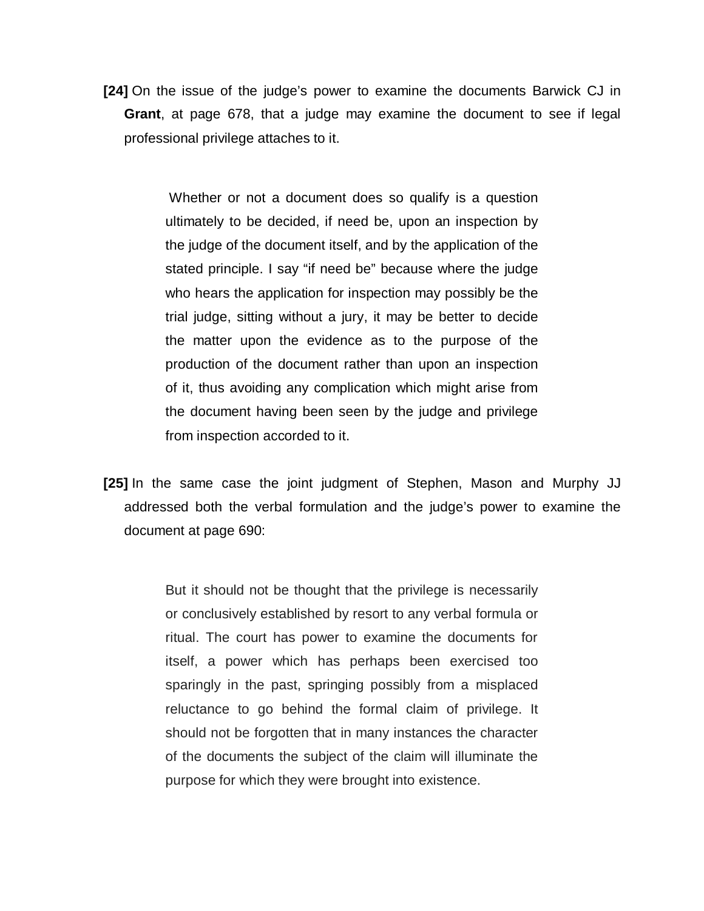**[24]** On the issue of the judge's power to examine the documents Barwick CJ in **Grant**, at page 678, that a judge may examine the document to see if legal professional privilege attaches to it.

> Whether or not a document does so qualify is a question ultimately to be decided, if need be, upon an inspection by the judge of the document itself, and by the application of the stated principle. I say "if need be" because where the judge who hears the application for inspection may possibly be the trial judge, sitting without a jury, it may be better to decide the matter upon the evidence as to the purpose of the production of the document rather than upon an inspection of it, thus avoiding any complication which might arise from the document having been seen by the judge and privilege from inspection accorded to it.

**[25]** In the same case the joint judgment of Stephen, Mason and Murphy JJ addressed both the verbal formulation and the judge's power to examine the document at page 690:

> But it should not be thought that the privilege is necessarily or conclusively established by resort to any verbal formula or ritual. The court has power to examine the documents for itself, a power which has perhaps been exercised too sparingly in the past, springing possibly from a misplaced reluctance to go behind the formal claim of privilege. It should not be forgotten that in many instances the character of the documents the subject of the claim will illuminate the purpose for which they were brought into existence.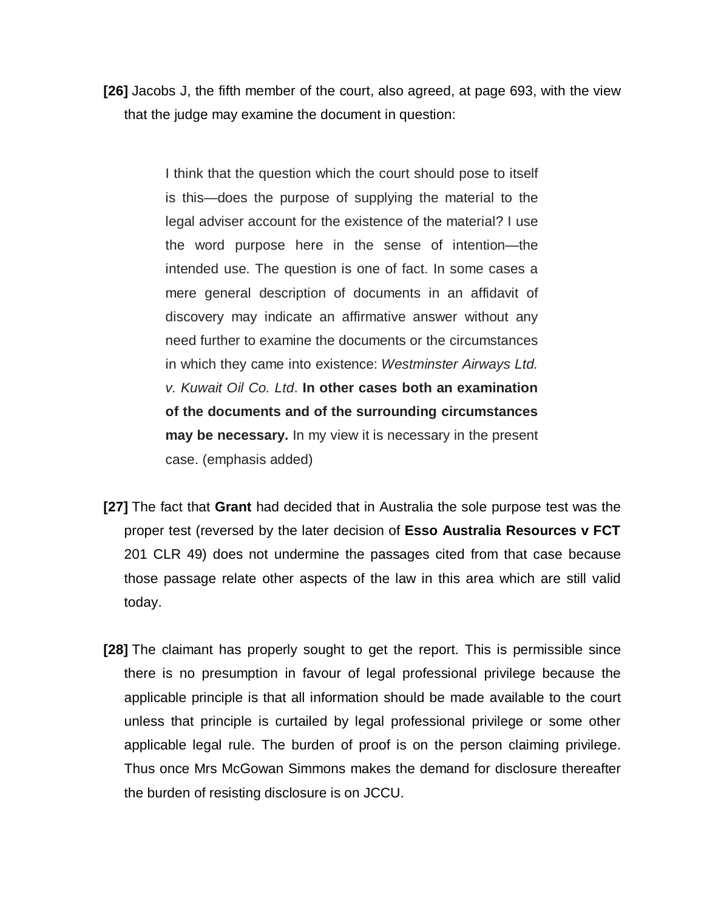**[26]** Jacobs J, the fifth member of the court, also agreed, at page 693, with the view that the judge may examine the document in question:

> I think that the question which the court should pose to itself is this—does the purpose of supplying the material to the legal adviser account for the existence of the material? I use the word purpose here in the sense of intention—the intended use. The question is one of fact. In some cases a mere general description of documents in an affidavit of discovery may indicate an affirmative answer without any need further to examine the documents or the circumstances in which they came into existence: *Westminster Airways Ltd. v. Kuwait Oil Co. Ltd*. **In other cases both an examination of the documents and of the surrounding circumstances may be necessary.** In my view it is necessary in the present case. (emphasis added)

- **[27]** The fact that **Grant** had decided that in Australia the sole purpose test was the proper test (reversed by the later decision of **Esso Australia Resources v FCT**  201 CLR 49) does not undermine the passages cited from that case because those passage relate other aspects of the law in this area which are still valid today.
- **[28]** The claimant has properly sought to get the report. This is permissible since there is no presumption in favour of legal professional privilege because the applicable principle is that all information should be made available to the court unless that principle is curtailed by legal professional privilege or some other applicable legal rule. The burden of proof is on the person claiming privilege. Thus once Mrs McGowan Simmons makes the demand for disclosure thereafter the burden of resisting disclosure is on JCCU.